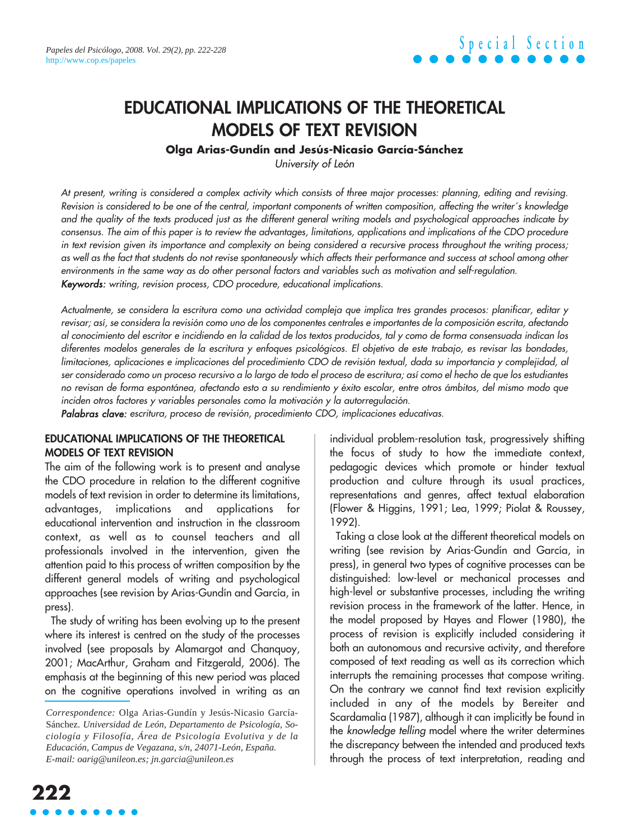### **EDUCATIONAL IMPLICATIONS OF THE THEORETICAL MODELS OF TEXT REVISION**

### **Olga Arias-Gundín and Jesús-Nicasio García-Sánchez**

University of León

At present, writing is considered a complex activity which consists of three major processes: planning, editing and revising. Revision is considered to be one of the central, important components of written composition, affecting the writer´s knowledge and the quality of the texts produced just as the different general writing models and psychological approaches indicate by consensus. The aim of this paper is to review the advantages, limitations, applications and implications of the CDO procedure in text revision given its importance and complexity on being considered a recursive process throughout the writing process; as well as the fact that students do not revise spontaneously which affects their performance and success at school among other environments in the same way as do other personal factors and variables such as motivation and self-regulation. Keywords: writing, revision process, CDO procedure, educational implications.

Actualmente, se considera la escritura como una actividad compleja que implica tres grandes procesos: planificar, editar y revisar; así, se considera la revisión como uno de los componentes centrales e importantes de la composición escrita, afectando al conocimiento del escritor e incidiendo en la calidad de los textos producidos, tal y como de forma consensuada indican los diferentes modelos generales de la escritura y enfoques psicológicos. El objetivo de este trabajo, es revisar las bondades, limitaciones, aplicaciones e implicaciones del procedimiento CDO de revisión textual, dada su importancia y complejidad, al ser considerado como un proceso recursivo a lo largo de todo el proceso de escritura; así como el hecho de que los estudiantes no revisan de forma espontánea, afectando esto a su rendimiento y éxito escolar, entre otros ámbitos, del mismo modo que inciden otros factores y variables personales como la motivación y la autorregulación.

Palabras clave: escritura, proceso de revisión, procedimiento CDO, implicaciones educativas.

#### **EDUCATIONAL IMPLICATIONS OF THE THEORETICAL MODELS OF TEXT REVISION**

The aim of the following work is to present and analyse the CDO procedure in relation to the different cognitive models of text revision in order to determine its limitations, advantages, implications and applications for educational intervention and instruction in the classroom context, as well as to counsel teachers and all professionals involved in the intervention, given the attention paid to this process of written composition by the different general models of writing and psychological approaches (see revision by Arias-Gundín and García, in press).

The study of writing has been evolving up to the present where its interest is centred on the study of the processes involved (see proposals by Alamargot and Chanquoy, 2001; MacArthur, Graham and Fitzgerald, 2006). The emphasis at the beginning of this new period was placed on the cognitive operations involved in writing as an

individual problem-resolution task, progressively shifting the focus of study to how the immediate context, pedagogic devices which promote or hinder textual production and culture through its usual practices, representations and genres, affect textual elaboration (Flower & Higgins, 1991; Lea, 1999; Piolat & Roussey, 1992).

Taking a close look at the different theoretical models on writing (see revision by Arias-Gundín and García, in press), in general two types of cognitive processes can be distinguished: low-level or mechanical processes and high-level or substantive processes, including the writing revision process in the framework of the latter. Hence, in the model proposed by Hayes and Flower (1980), the process of revision is explicitly included considering it both an autonomous and recursive activity, and therefore composed of text reading as well as its correction which interrupts the remaining processes that compose writing. On the contrary we cannot find text revision explicitly included in any of the models by Bereiter and Scardamalia (1987), although it can implicitly be found in the knowledge telling model where the writer determines the discrepancy between the intended and produced texts through the process of text interpretation, reading and

*Correspondence:* Olga Arias-Gundín y Jesús-Nicasio García-Sánchez. *Universidad de León, Departamento de Psicología, Sociología y Filosofía, Área de Psicología Evolutiva y de la Educación, Campus de Vegazana, s/n, 24071-León, España. E-mail: oarig@unileon.es; jn.garcia@unileon.es*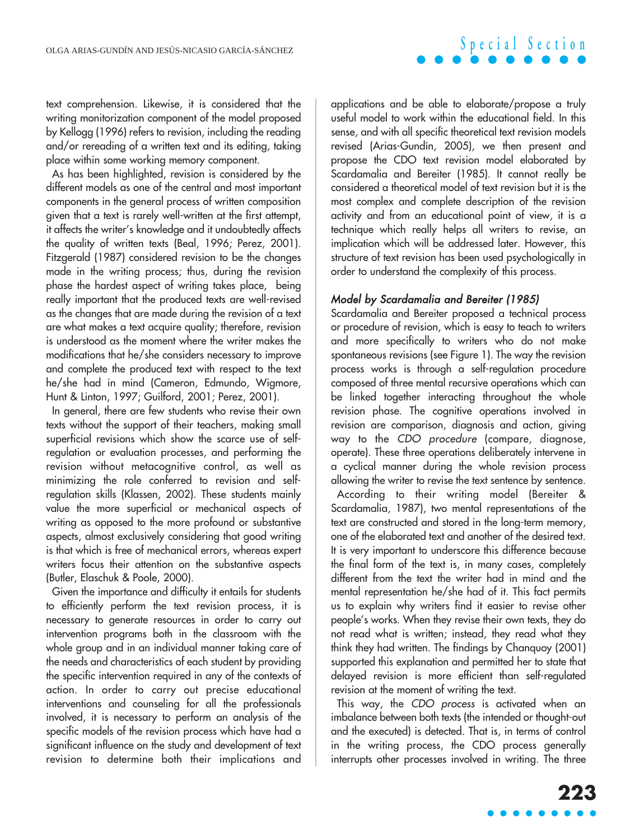text comprehension. Likewise, it is considered that the writing monitorization component of the model proposed by Kellogg (1996) refers to revision, including the reading and/or rereading of a written text and its editing, taking place within some working memory component.

As has been highlighted, revision is considered by the different models as one of the central and most important components in the general process of written composition given that a text is rarely well-written at the first attempt, it affects the writer's knowledge and it undoubtedly affects the quality of written texts (Beal, 1996; Perez, 2001). Fitzgerald (1987) considered revision to be the changes made in the writing process; thus, during the revision phase the hardest aspect of writing takes place, being really important that the produced texts are well-revised as the changes that are made during the revision of a text are what makes a text acquire quality; therefore, revision is understood as the moment where the writer makes the modifications that he/she considers necessary to improve and complete the produced text with respect to the text he/she had in mind (Cameron, Edmundo, Wigmore, Hunt & Linton, 1997; Guilford, 2001; Perez, 2001).

In general, there are few students who revise their own texts without the support of their teachers, making small superficial revisions which show the scarce use of selfregulation or evaluation processes, and performing the revision without metacognitive control, as well as minimizing the role conferred to revision and selfregulation skills (Klassen, 2002). These students mainly value the more superficial or mechanical aspects of writing as opposed to the more profound or substantive aspects, almost exclusively considering that good writing is that which is free of mechanical errors, whereas expert writers focus their attention on the substantive aspects (Butler, Elaschuk & Poole, 2000).

Given the importance and difficulty it entails for students to efficiently perform the text revision process, it is necessary to generate resources in order to carry out intervention programs both in the classroom with the whole group and in an individual manner taking care of the needs and characteristics of each student by providing the specific intervention required in any of the contexts of action. In order to carry out precise educational interventions and counseling for all the professionals involved, it is necessary to perform an analysis of the specific models of the revision process which have had a significant influence on the study and development of text revision to determine both their implications and

applications and be able to elaborate/propose a truly useful model to work within the educational field. In this sense, and with all specific theoretical text revision models revised (Arias-Gundín, 2005), we then present and propose the CDO text revision model elaborated by Scardamalia and Bereiter (1985). It cannot really be considered a theoretical model of text revision but it is the most complex and complete description of the revision activity and from an educational point of view, it is a technique which really helps all writers to revise, an implication which will be addressed later. However, this structure of text revision has been used psychologically in order to understand the complexity of this process.

### Model by Scardamalia and Bereiter (1985)

Scardamalia and Bereiter proposed a technical process or procedure of revision, which is easy to teach to writers and more specifically to writers who do not make spontaneous revisions (see Figure 1). The way the revision process works is through a self-regulation procedure composed of three mental recursive operations which can be linked together interacting throughout the whole revision phase. The cognitive operations involved in revision are comparison, diagnosis and action, giving way to the CDO procedure (compare, diagnose, operate). These three operations deliberately intervene in a cyclical manner during the whole revision process allowing the writer to revise the text sentence by sentence.

According to their writing model (Bereiter & Scardamalia, 1987), two mental representations of the text are constructed and stored in the long-term memory, one of the elaborated text and another of the desired text. It is very important to underscore this difference because the final form of the text is, in many cases, completely different from the text the writer had in mind and the mental representation he/she had of it. This fact permits us to explain why writers find it easier to revise other people's works. When they revise their own texts, they do not read what is written; instead, they read what they think they had written. The findings by Chanquoy (2001) supported this explanation and permitted her to state that delayed revision is more efficient than self-regulated revision at the moment of writing the text.

This way, the CDO process is activated when an imbalance between both texts (the intended or thought-out and the executed) is detected. That is, in terms of control in the writing process, the CDO process generally interrupts other processes involved in writing. The three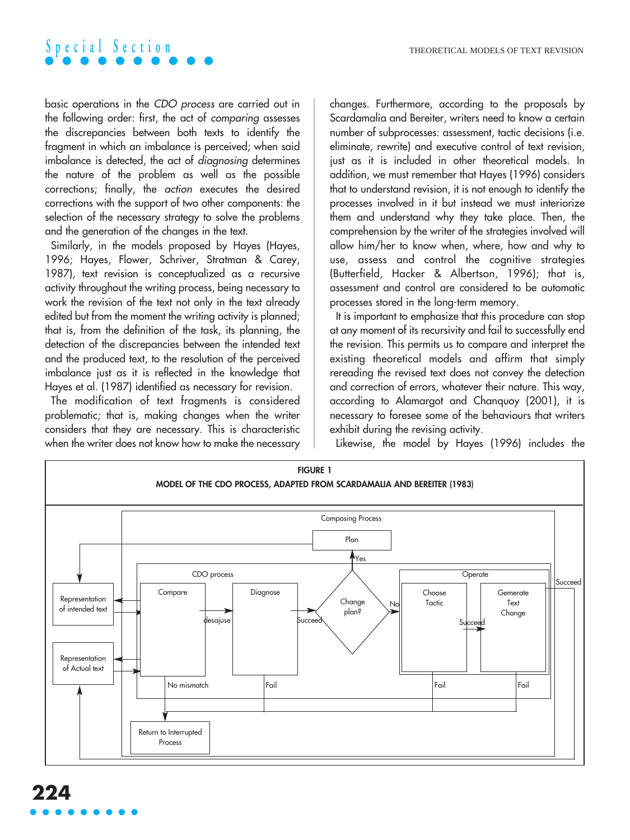basic operations in the CDO process are carried out in the following order: first, the act of comparing assesses the discrepancies between both texts to identify the fragment in which an imbalance is perceived; when said imbalance is detected, the act of diagnosing determines the nature of the problem as well as the possible corrections; finally, the action executes the desired corrections with the support of two other components: the selection of the necessary strategy to solve the problems and the generation of the changes in the text.

Similarly, in the models proposed by Hayes (Hayes, 1996; Hayes, Flower, Schriver, Stratman & Carey, 1987), text revision is conceptualized as a recursive activity throughout the writing process, being necessary to work the revision of the text not only in the text already edited but from the moment the writing activity is planned; that is, from the definition of the task, its planning, the detection of the discrepancies between the intended text and the produced text, to the resolution of the perceived imbalance just as it is reflected in the knowledge that Hayes et al. (1987) identified as necessary for revision.

The modification of text fragments is considered problematic; that is, making changes when the writer considers that they are necessary. This is characteristic when the writer does not know how to make the necessary changes. Furthermore, according to the proposals by Scardamalia and Bereiter, writers need to know a certain number of subprocesses: assessment, tactic decisions (i.e. eliminate, rewrite) and executive control of text revision, just as it is included in other theoretical models. In addition, we must remember that Hayes (1996) considers that to understand revision, it is not enough to identify the processes involved in it but instead we must interiorize them and understand why they take place. Then, the comprehension by the writer of the strategies involved will allow him/her to know when, where, how and why to use, assess and control the cognitive strategies (Butterfield, Hacker & Albertson, 1996); that is, assessment and control are considered to be automatic processes stored in the long-term memory.

It is important to emphasize that this procedure can stop at any moment of its recursivity and fail to successfully end the revision. This permits us to compare and interpret the existing theoretical models and affirm that simply rereading the revised text does not convey the detection and correction of errors, whatever their nature. This way, according to Alamargot and Chanquoy (2001), it is necessary to foresee some of the behaviours that writers exhibit during the revising activity.

Likewise, the model by Hayes (1996) includes the

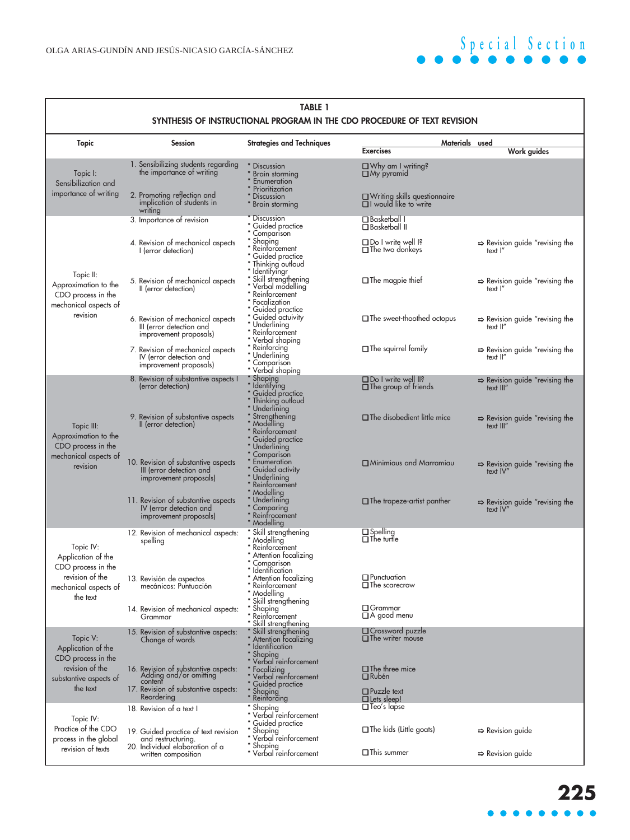| <b>TABLE 1</b><br>SYNTHESIS OF INSTRUCTIONAL PROGRAM IN THE CDO PROCEDURE OF TEXT REVISION                    |                                                                                                                                 |                                                                                                                                                                                                                                          |                                                                                       |                                                         |
|---------------------------------------------------------------------------------------------------------------|---------------------------------------------------------------------------------------------------------------------------------|------------------------------------------------------------------------------------------------------------------------------------------------------------------------------------------------------------------------------------------|---------------------------------------------------------------------------------------|---------------------------------------------------------|
| <b>Topic</b>                                                                                                  | <b>Session</b>                                                                                                                  | <b>Strategies and Techniques</b>                                                                                                                                                                                                         | <b>Exercises</b>                                                                      | Materials used<br><b>Work guides</b>                    |
| Topic I:<br>Sensibilization and<br>importance of writing                                                      | 1. Sensibilizing students regarding<br>the importance of writing                                                                | * Discussion<br>* Brain storming<br>* Enumeration<br>* Prioritization                                                                                                                                                                    | Why am I writing?<br>My pyramid                                                       |                                                         |
|                                                                                                               | 2. Promoting reflection and<br>implication of students in<br>writing                                                            | * Discussion<br>* Brain storming                                                                                                                                                                                                         | Q Writing skills questionnaire<br>Q I would like to write                             |                                                         |
| Topic II:<br>Approximation to the<br>CDO process in the<br>mechanical aspects of<br>revision                  | 3. Importance of revision                                                                                                       |                                                                                                                                                                                                                                          | <b>Q</b> Basketball I<br><b>Q</b> Basketball II                                       |                                                         |
|                                                                                                               | 4. Revision of mechanical aspects<br>I (error detection)                                                                        |                                                                                                                                                                                                                                          | Do I write well I?<br>The two donkeys                                                 | $\Rightarrow$ Revision guide "revising the<br>text I"   |
|                                                                                                               | 5. Revision of mechanical aspects<br>Il (error detection)                                                                       | * Discussion<br>* Guided practice<br>* Comparison<br>* Shaping<br>* Feindrocement<br>* Guided practice<br>* Islil strengthening<br>* Nerhol modelling<br>* Nerhol modelling<br>* Nerhol modelling<br>* Tocalization<br>* Cuided practice | $\Box$ The magpie thief                                                               | $\Rightarrow$ Revision guide "revising the<br>text I"   |
|                                                                                                               | 6. Revision of mechanical aspects<br>III (error detection and<br>improvement proposals)                                         | * Guided practice<br>* Guided actuivity<br>* Underlining<br>* Reinforcement<br>* Verbal shaping                                                                                                                                          | The sweet-thoothed octopus                                                            | $\Rightarrow$ Revision guide "revising the<br>text II"  |
|                                                                                                               | 7. Revision of mechanical aspects<br>IV (error detection and<br>improvement proposals)                                          | * Reinforcing<br>* Underlining<br>* Comparison<br>* Verbal shaping                                                                                                                                                                       | The squirrel family                                                                   | Revision guide "revising the<br>text II"                |
| Topic III:<br>Approximation to the<br>CDO process in the<br>mechanical aspects of<br>revision                 | 8. Revision of substantive aspects I<br>(error detection)                                                                       |                                                                                                                                                                                                                                          | Do I write well II?<br>$\Box$ The group of friends                                    | $\Rightarrow$ Revision guide "revising the<br>text III" |
|                                                                                                               | 9. Revision of substantive aspects<br>II (error detection)                                                                      | * Verbal shaping<br>* Shaping<br>* Cuided practice<br>* Underlining outloud<br>* Woodelling<br>* Keinforcement<br>* Guided practice<br>* Comparison<br>* Comparison<br>* Comparison                                                      | $\Box$ The disobedient little mice                                                    | Revision guide "revising the<br>text III"               |
|                                                                                                               | 10. Revision of substantive aspects<br>III (error detection and<br>improvement proposals)                                       | * Enumeration<br>* Guided activity<br>* Underlining                                                                                                                                                                                      | Minimiaus and Marramiau                                                               | $\Rightarrow$ Revision guide "revising the text IV"     |
|                                                                                                               | 11. Revision of substantive aspects<br>IV (error detection and<br>improvement proposals)                                        | " Reinforcement<br>" Reinforcement<br>" Modelling<br>" Comparing<br>" Reinfrocement<br>" Modelling                                                                                                                                       | $\Box$ The trapeze-artist panther                                                     | $\Rightarrow$ Revision guide "revising the text IV"     |
| Topic IV:<br>Application of the<br>CDO process in the<br>revision of the<br>mechanical aspects of<br>the text | 12. Revision of mechanical aspects:<br>spelling                                                                                 | * Skill strengthening<br>* Modelling<br>* Reinforcement<br>* Attention focalizing<br>* Comparison<br>* Identification                                                                                                                    | <b>Q</b> Spelling<br><b>Q</b> The turtle                                              |                                                         |
|                                                                                                               | 13. Revisión de aspectos<br>mecánicos: Puntuación                                                                               | Attention focalizing<br>* Reinforcement<br>* Modelling<br>* Skill strengthening                                                                                                                                                          | <b>Q</b> Punctuation<br><b>Q</b> The scarecrow<br><b>Q</b> Grammar                    |                                                         |
|                                                                                                               | 14. Revision of mechanical aspects:<br>Grammar                                                                                  | * Shaping<br>* Reinforcement<br>* Skill strengthening                                                                                                                                                                                    | $\Box$ A good menu<br><b>Q</b> Crossword puzzle                                       |                                                         |
| Topic V:<br>Application of the<br>CDO process in the<br>revision of the<br>substantive aspects of<br>the text | 15. Revision of substantive aspects:<br>Change of words                                                                         | Skill strengthening<br>* Attention focalizing<br>* Identification<br>* Shaping<br>* Verbal reinforcement                                                                                                                                 | $\Box$ The writer mouse                                                               |                                                         |
|                                                                                                               | 16. Revision of substantive aspects:<br>Adding and/or omitting<br>content<br>17. Revision of substantive aspects:<br>Reordering | * Focalizing<br>* Verbal reinforcement<br>* Guided practice<br>* Shaping<br>* Reinforcing                                                                                                                                                | $\Box$ The three mice<br><b>Q</b> Rubén<br>$\Box$ Puzzle text<br><b>Q</b> Lets sleep! |                                                         |
| Topic IV:<br>Practice of the CDO<br>process in the global<br>revision of texts                                | 18. Revision of a text I                                                                                                        | * Shaping<br>* Verbal reinforcement                                                                                                                                                                                                      | □ Teo's lapse                                                                         |                                                         |
|                                                                                                               | 19. Guided practice of text revision<br>and restructuring.<br>20. Individual elaboration of a                                   | * Guided practice<br>* Shaping<br>* Verbal reinforcement<br>* Shaping                                                                                                                                                                    | $\Box$ The kids (Little goats)                                                        | $\Rightarrow$ Revision guide                            |
|                                                                                                               | written composition                                                                                                             | * Verbal reinforcement                                                                                                                                                                                                                   | <b>Q</b> This summer                                                                  | $\Rightarrow$ Revision guide                            |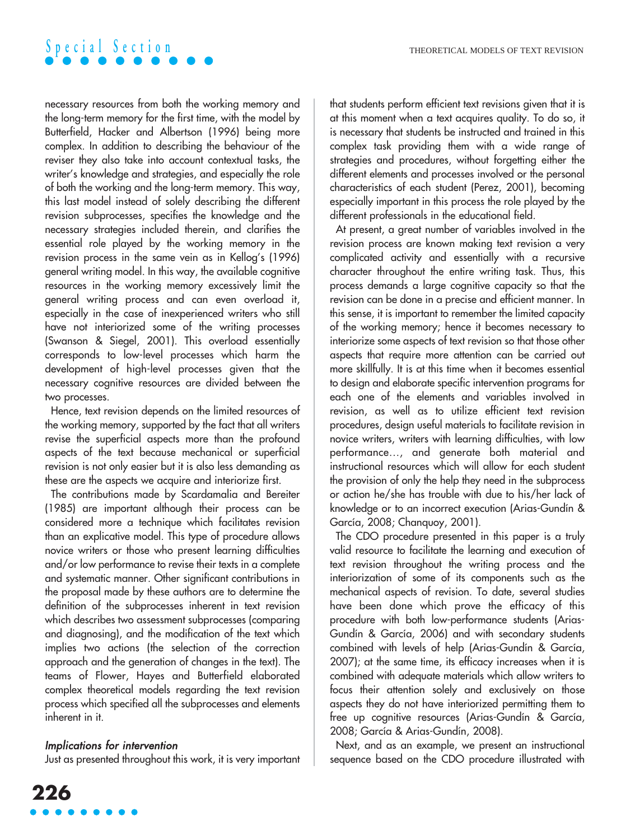necessary resources from both the working memory and the long-term memory for the first time, with the model by Butterfield, Hacker and Albertson (1996) being more complex. In addition to describing the behaviour of the reviser they also take into account contextual tasks, the writer's knowledge and strategies, and especially the role of both the working and the long-term memory. This way, this last model instead of solely describing the different revision subprocesses, specifies the knowledge and the necessary strategies included therein, and clarifies the essential role played by the working memory in the revision process in the same vein as in Kellog's (1996) general writing model. In this way, the available cognitive resources in the working memory excessively limit the general writing process and can even overload it, especially in the case of inexperienced writers who still have not interiorized some of the writing processes (Swanson & Siegel, 2001). This overload essentially corresponds to low-level processes which harm the development of high-level processes given that the necessary cognitive resources are divided between the two processes.

Hence, text revision depends on the limited resources of the working memory, supported by the fact that all writers revise the superficial aspects more than the profound aspects of the text because mechanical or superficial revision is not only easier but it is also less demanding as these are the aspects we acquire and interiorize first.

The contributions made by Scardamalia and Bereiter (1985) are important although their process can be considered more a technique which facilitates revision than an explicative model. This type of procedure allows novice writers or those who present learning difficulties and/or low performance to revise their texts in a complete and systematic manner. Other significant contributions in the proposal made by these authors are to determine the definition of the subprocesses inherent in text revision which describes two assessment subprocesses (comparing and diagnosing), and the modification of the text which implies two actions (the selection of the correction approach and the generation of changes in the text). The teams of Flower, Hayes and Butterfield elaborated complex theoretical models regarding the text revision process which specified all the subprocesses and elements inherent in it.

#### Implications for intervention

Just as presented throughout this work, it is very important

that students perform efficient text revisions given that it is at this moment when a text acquires quality. To do so, it is necessary that students be instructed and trained in this complex task providing them with a wide range of strategies and procedures, without forgetting either the different elements and processes involved or the personal characteristics of each student (Perez, 2001), becoming especially important in this process the role played by the different professionals in the educational field.

At present, a great number of variables involved in the revision process are known making text revision a very complicated activity and essentially with a recursive character throughout the entire writing task. Thus, this process demands a large cognitive capacity so that the revision can be done in a precise and efficient manner. In this sense, it is important to remember the limited capacity of the working memory; hence it becomes necessary to interiorize some aspects of text revision so that those other aspects that require more attention can be carried out more skillfully. It is at this time when it becomes essential to design and elaborate specific intervention programs for each one of the elements and variables involved in revision, as well as to utilize efficient text revision procedures, design useful materials to facilitate revision in novice writers, writers with learning difficulties, with low performance…, and generate both material and instructional resources which will allow for each student the provision of only the help they need in the subprocess or action he/she has trouble with due to his/her lack of knowledge or to an incorrect execution (Arias-Gundín & García, 2008; Chanquoy, 2001).

The CDO procedure presented in this paper is a truly valid resource to facilitate the learning and execution of text revision throughout the writing process and the interiorization of some of its components such as the mechanical aspects of revision. To date, several studies have been done which prove the efficacy of this procedure with both low-performance students (Arias-Gundín & García, 2006) and with secondary students combined with levels of help (Arias-Gundín & García, 2007); at the same time, its efficacy increases when it is combined with adequate materials which allow writers to focus their attention solely and exclusively on those aspects they do not have interiorized permitting them to free up cognitive resources (Arias-Gundín & García, 2008; García & Arias-Gundín, 2008).

Next, and as an example, we present an instructional sequence based on the CDO procedure illustrated with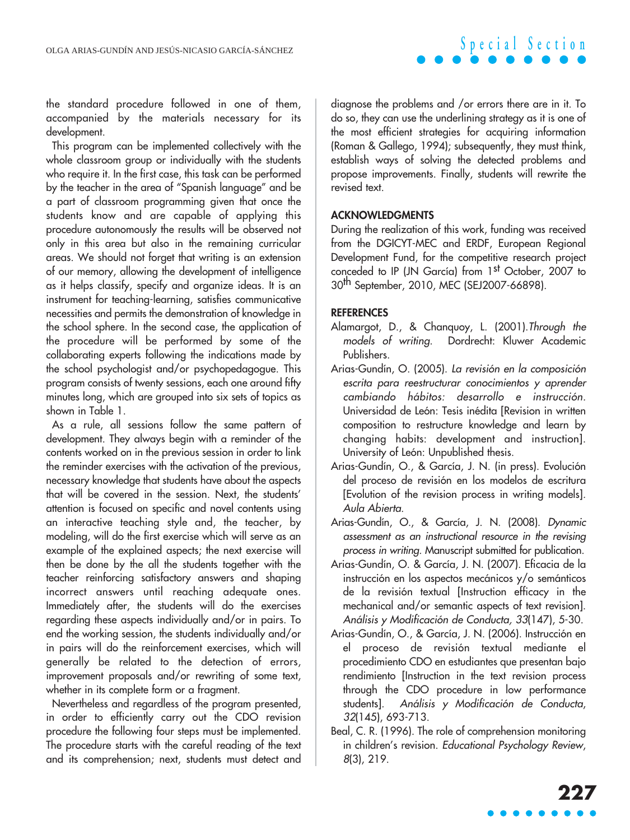the standard procedure followed in one of them, accompanied by the materials necessary for its development.

This program can be implemented collectively with the whole classroom group or individually with the students who require it. In the first case, this task can be performed by the teacher in the area of "Spanish language" and be a part of classroom programming given that once the students know and are capable of applying this procedure autonomously the results will be observed not only in this area but also in the remaining curricular areas. We should not forget that writing is an extension of our memory, allowing the development of intelligence as it helps classify, specify and organize ideas. It is an instrument for teaching-learning, satisfies communicative necessities and permits the demonstration of knowledge in the school sphere. In the second case, the application of the procedure will be performed by some of the collaborating experts following the indications made by the school psychologist and/or psychopedagogue. This program consists of twenty sessions, each one around fifty minutes long, which are grouped into six sets of topics as shown in Table 1.

As a rule, all sessions follow the same pattern of development. They always begin with a reminder of the contents worked on in the previous session in order to link the reminder exercises with the activation of the previous, necessary knowledge that students have about the aspects that will be covered in the session. Next, the students' attention is focused on specific and novel contents using an interactive teaching style and, the teacher, by modeling, will do the first exercise which will serve as an example of the explained aspects; the next exercise will then be done by the all the students together with the teacher reinforcing satisfactory answers and shaping incorrect answers until reaching adequate ones. Immediately after, the students will do the exercises regarding these aspects individually and/or in pairs. To end the working session, the students individually and/or in pairs will do the reinforcement exercises, which will generally be related to the detection of errors, improvement proposals and/or rewriting of some text, whether in its complete form or a fragment.

Nevertheless and regardless of the program presented, in order to efficiently carry out the CDO revision procedure the following four steps must be implemented. The procedure starts with the careful reading of the text and its comprehension; next, students must detect and diagnose the problems and /or errors there are in it. To do so, they can use the underlining strategy as it is one of the most efficient strategies for acquiring information (Roman & Gallego, 1994); subsequently, they must think, establish ways of solving the detected problems and propose improvements. Finally, students will rewrite the revised text.

#### **ACKNOWLEDGMENTS**

During the realization of this work, funding was received from the DGICYT-MEC and ERDF, European Regional Development Fund, for the competitive research project conceded to IP (JN García) from 1st October, 2007 to 30th September, 2010, MEC (SEJ2007-66898).

#### **REFERENCES**

- Alamargot, D., & Chanquoy, L. (2001).Through the models of writing. Dordrecht: Kluwer Academic Publishers.
- Arias-Gundín, O. (2005). La revisión en la composición escrita para reestructurar conocimientos y aprender cambiando hábitos: desarrollo e instrucción. Universidad de León: Tesis inédita [Revision in written composition to restructure knowledge and learn by changing habits: development and instruction]. University of León: Unpublished thesis.
- Arias-Gundín, O., & García, J. N. (in press). Evolución del proceso de revisión en los modelos de escritura [Evolution of the revision process in writing models]. Aula Abierta.
- Arias-Gundín, O., & García, J. N. (2008). Dynamic assessment as an instructional resource in the revising process in writing. Manuscript submitted for publication.
- Arias-Gundín, O. & García, J. N. (2007). Eficacia de la instrucción en los aspectos mecánicos y/o semánticos de la revisión textual [Instruction efficacy in the mechanical and/or semantic aspects of text revision]. Análisis y Modificación de Conducta, <sup>33</sup>(147), 5-30.
- Arias-Gundín, O., & García, J. N. (2006). Instrucción en el proceso de revisión textual mediante el procedimiento CDO en estudiantes que presentan bajo rendimiento [Instruction in the text revision process through the CDO procedure in low performance students]. Análisis y Modificación de Conducta, 32(145), 693-713.
- Beal, C. R. (1996). The role of comprehension monitoring in children's revision. Educational Psychology Review, 8(3), 219.